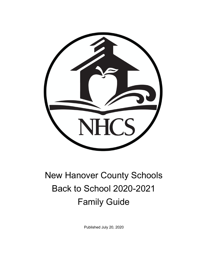

# New Hanover County Schools Back to School 2020-2021 Family Guide

Published July 20, 2020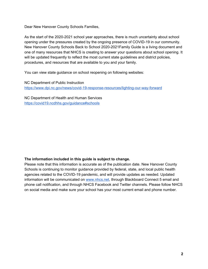Dear New Hanover County Schools Families,

 As the start of the 2020-2021 school year approaches, there is much uncertainty about school opening under the pressures created by the ongoing presence of COVID-19 in our community. New Hanover County Schools Back to School 2020-2021Family Guide is a living document and one of many resources that NHCS is creating to answer your questions about school opening. It will be updated frequently to reflect the most current state guidelines and district policies, procedures, and resources that are available to you and your family.

You can view state guidance on school reopening on following websites:

 NC Department of Public Instruction <https://www.dpi.nc.gov/news/covid-19-response-resources/lighting-our-way-forward>

 NC Department of Health and Human Services <https://covid19.ncdhhs.gov/guidance#schools>

### **The information included in this guide is subject to change.**

 Please note that this information is accurate as of the publication date. New Hanover County Schools is continuing to monitor guidance provided by federal, state, and local public health agencies related to the COVID-19 pandemic, and will provide updates as needed. Updated information will be communicated on [www.nhcs.net](http://www.nhcs.net/), through Blackboard Connect 5 email and phone call notification, and through NHCS Facebook and Twitter channels. Please follow NHCS on social media and make sure your school has your most current email and phone number.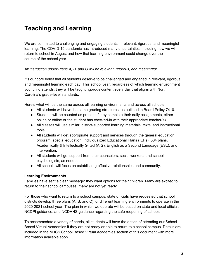### **Teaching and Learning**

 We are committed to challenging and engaging students in relevant, rigorous, and meaningful learning. The COVID-19 pandemic has introduced many uncertainties, including how we will return to school in August and how that learning environment could change over the course of the school year.

### *All instruction under Plans A, B, and C will be relevant, rigorous, and meaningful.*

 It's our core belief that all students deserve to be challenged and engaged in relevant, rigorous, and meaningful learning each day. This school year, regardless of which learning environment your child attends, they will be taught rigorous content every day that aligns with North Carolina's grade-level standards.

Here's what will be the same across all learning environments and across all schools:

- All students will have the same grading structures, as outlined in Board Policy 7410.
- ● Students will be counted as present if they complete their daily assignments, either online or offline or the student has checked-in with their appropriate teacher(s).
- ● All classes will use similar, district-supported learning materials, texts, and instructional tools.
- ● All students will get appropriate support and services through the general education program, special education, Individualized Educational Plans (IEPs), 504 plans, Academically & Intellectually Gifted (AIG), English as a Second Language (ESL), and intervention.
- ● All students will get support from their counselors, social workers, and school psychologists, as needed.
- All schools will focus on establishing effective relationships and community.

### **Learning Environments**

 Families have sent a clear message: they want options for their children. Many are excited to return to their school campuses; many are not yet ready.

 For those who want to return to a school campus, state officials have requested that school districts develop three plans (A, B, and C) for different learning environments to operate in the 2020-2021 school year. The plan in which we operate will be based on state and local officials, NCDPI guidance, and NCDHHS guidance regarding the safe reopening of schools.

 To accommodate a variety of needs, all students will have the option of attending our School Based Virtual Academies if they are not ready or able to return to a school campus. Details are included in the NHCS School Based Virtual Academies section of this document with more information available soon.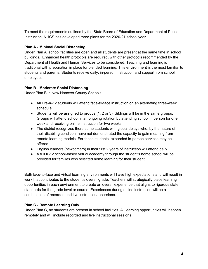To meet the requirements outlined by the State Board of Education and Department of Public Instruction, NHCS has developed three plans for the 2020-21 school year.

### **Plan A - Minimal Social Distancing**

 Under Plan A, school facilities are open and all students are present at the same time in school buildings. Enhanced health protocols are required, with other protocols recommended by the Department of Health and Human Services to be considered. Teaching and learning is traditional with preparation in place for blended learning. This environment is the most familiar to students and parents. Students receive daily, in-person instruction and support from school employees.

### **Plan B - Moderate Social Distancing**

Under Plan B in New Hanover County Schools:

- ● All Pre-K-12 students will attend face-to-face instruction on an alternating three-week schedule.
- ● Students will be assigned to groups (1, 2 or 3). Siblings will be in the same groups. Groups will attend school in an ongoing rotation by attending school in person for one week and receiving online instruction for two weeks.
- ● The district recognizes there some students with global delays who, by the nature of their disabling condition, have not demonstrated the capacity to gain meaning from remote learning models. For these students, expanded in-person services may be offered.
- English learners (newcomers) in their first 2 years of instruction will attend daily.
- provided for families who selected home learning for their student. ● A full K-12 school-based virtual academy through the student's home school will be

 Both face-to-face and virtual learning environments will have high expectations and will result in work that contributes to the student's overall grade. Teachers will strategically place learning opportunities in each environment to create an overall experience that aligns to rigorous state standards for the grade level or course. Experiences during online instruction will be a combination of recorded and live instructional sessions.

### **Plan C - Remote Learning Only**

 Under Plan C, no students are present in school facilities. All learning opportunities will happen remotely and will include recorded and live instructional sessions.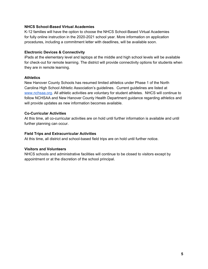### **NHCS School-Based Virtual Academies**

 K-12 families will have the option to choose the NHCS School-Based Virtual Academies for fully online instruction in the 2020-2021 school year. More information on application procedures, including a commitment letter with deadlines, will be available soon.

### **Electronic Devices & Connectivity**

 iPads at the elementary level and laptops at the middle and high school levels will be available for check-out for remote learning. The district will provide connectivity options for students when they are in remote learning.

### **Athletics**

 New Hanover County Schools has resumed limited athletics under Phase 1 of the North Carolina High School Athletic Association's guidelines. Current guidelines are listed at [www.nchsaa.org](http://www.nchsaa.org/). All athletic activities are voluntary for student athletes. NHCS will continue to follow NCHSAA and New Hanover County Health Department guidance regarding athletics and will provide updates as new information becomes available.

### **Co-Curricular Activities**

 At this time, all co-curricular activities are on hold until further information is available and until further planning can occur.

#### **Field Trips and Extracurricular Activities**

At this time, all district and school-based field trips are on hold until further notice.

#### **Visitors and Volunteers**

 NHCS schools and administrative facilities will continue to be closed to visitors except by appointment or at the discretion of the school principal.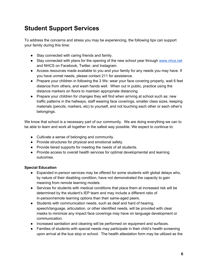### **Student Support Services**

 To address the concerns and stress you may be experiencing, the following tips can support your family during this time:

- Stay connected with caring friends and family.
- Stay connected with plans for the opening of the new school year through [www.nhcs.net](http://www.nhcs.net/) and NHCS on Facebook, Twitter, and Instagram.
- ● Access resources made available to you and your family for any needs you may have. If you have unmet needs, please contact 211 for assistance.
- ● Prepare your children in following the 3 Ws: wear your face covering properly, wait 6 feet distance from others, and wash hands well. When out in public, practice using the distance markers on floors to maintain appropriate distancing.
- ● Prepare your children for changes they will find when arriving at school such as: new traffic patterns in the hallways, staff wearing face coverings, smaller class sizes, keeping materials (pencils, markers, etc) to yourself, and not touching each other or each other's belongings.

 We know that school is a necessary part of our community. We are doing everything we can to be able to learn and work all together in the safest way possible. We expect to continue to:

- Cultivate a sense of belonging and community.
- Provide structures for physical and emotional safety.
- Provide tiered supports for meeting the needs of all students.
- ● Provide access to overall health services for optimal developmental and learning outcomes.

### **Special Education**

- ● Expanded in-person services may be offered for some students with global delays who, by nature of their disabling condition, have not demonstrated the capacity to gain meaning from remote learning models.
- ● Services for students with medical conditions that place them at increased risk will be determined by the student's IEP team and may include a different ratio of in-person/remote learning options than their same-aged peers.
- ● Students with communication needs, such as deaf and hard of hearing, speech/language, articulation, or other identified needs, will be provided with clear masks to minimize any impact face coverings may have on language development or communication.
- Increased sanitation and cleaning will be performed on equipment and surfaces.
- ● Families of students with special needs may participate in their child's health screening upon arrival at the bus stop or school. The health attestation form may be utilized as the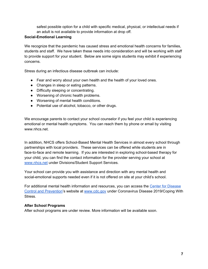safest possible option for a child with specific medical, physical, or intellectual needs if an adult is not available to provide information at drop off.

### **Social-Emotional Learning**

 We recognize that the pandemic has caused stress and emotional health concerns for families, students and staff. We have taken these needs into consideration and will be working with staff to provide support for your student. Below are some signs students may exhibit if experiencing concerns.

Stress during an infectious disease outbreak can include:

- Fear and worry about your own health and the health of your loved ones.
- Changes in sleep or eating patterns.
- Difficulty sleeping or concentrating.
- Worsening of chronic health problems.
- Worsening of mental health conditions.
- Potential use of alcohol, tobacco, or other drugs.

 We encourage parents to contact your school counselor if you feel your child is experiencing emotional or mental health symptoms. You can reach them by phone or email by visiting www.nhcs.net.

 In addition, NHCS offers School-Based Mental Health Services in almost every school through partnerships with local providers. These services can be offered while students are in face-to-face and remote learning. If you are interested in exploring school-based therapy for your child, you can find the contact information for the provider serving your school at [www.nhcs.net](http://www.nhcs.net/) under Divisions/Student Support Services.

 Your school can provide you with assistance and direction with any mental health and social-emotional supports needed even if it is not offered on site at your child's school.

For additional mental health information and resources, you can access the Center for [Disease](https://www.cdc.gov/coronavirus/2019-ncov/daily-life-coping/managing-stress-anxiety.html?CDC_AA_refVal=https%3A%2F%2Fwww.cdc.gov%2Fcoronavirus%2F2019-ncov%2Fprepare%2Fmanaging-stress-anxiety.html) Control and [Prevention](https://www.cdc.gov/coronavirus/2019-ncov/daily-life-coping/managing-stress-anxiety.html?CDC_AA_refVal=https%3A%2F%2Fwww.cdc.gov%2Fcoronavirus%2F2019-ncov%2Fprepare%2Fmanaging-stress-anxiety.html)'s website at [www.cdc.gov](http://www.cdc.gov/) under Coronavirus Disease 2019/Coping With Stress.

### **After School Programs**

After school programs are under review. More information will be available soon.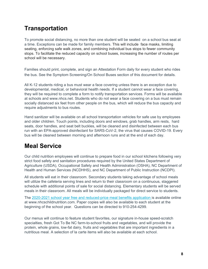### **Transportation**

 To promote social distancing, no more than one student will be seated on a school bus seat at a time. Exceptions can be made for family members. This will include face masks, limiting seating, enforcing safe walk zones, and combining individual bus stops to fewer community stops. To facilitate the reduced capacity on school buses, increasing the number of routes per school will be necessary.

 Families should print, complete, and sign an Attestation Form daily for every student who rides the bus. See the Symptom Screening/On School Buses section of this document for details.

 All K-12 students riding a bus must wear a face covering unless there is an exception due to developmental, medical, or behavioral health needs. If a student cannot wear a face covering, they will be required to complete a form to notify transportation services. Forms will be available at schools and www.nhcs.net. Students who do not wear a face covering on a bus must remain socially distanced six feet from other people on the bus, which will reduce the bus capacity and require adjustments to bus routes.

 Hand sanitizer will be available on all school transportation vehicles for safe use by employees and older children. Touch points, including doors and windows, grab handles, arm rests, hard seats, door handles, and seat belt buckles, will be cleaned and disinfected between each bus run with an EPA-approved disinfectant for SARS-CoV-2, the virus that causes COVID-19. Every bus will be cleaned between morning and afternoon runs and at the end of each day.

### **Meal Service**

 Our child nutrition employees will continue to prepare food in our school kitchens following very strict food safety and sanitation procedures required by the United States Department of Agriculture (USDA), Occupational Safety and Health Administration (OSHA), NC Department of Health and Human Services (NCDHHS), and NC Department of Public Instruction (NCDPI).

 All students will eat in their classroom. Secondary students taking advantage of school meals will utilize the cafeteria serving lines and return to their classroom on a continuous, staggered schedule with additional points of sale for social distancing. Elementary students will be served meals in their classroom. All meals will be individually packaged for direct service to students.

The 2020-2021 school year free and [reduced-price](https://nhcschildnutrition.com/index.php?sid=1560784726475&page=lunchapps) meal benefits [application](https://www2.myschoolapps.com/) is available online at www.nhcschildnutrition.com. Paper copies will also be available to each student at the beginning of the school year. Questions can be directed to 910-254-4299.

 Our menus will continue to feature student favorites, our signature in-house speed-scratch specialties, fresh Got To Be NC farm-to-school fruits and vegetables, and will provide the protein, whole grains, low-fat dairy, fruits and vegetables that are important ingredients in a nutritious meal. A selection of la carte items will also be available at each school.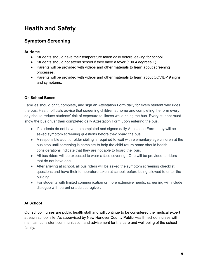## **Health and Safety**

### **Symptom Screening**

### **At Home**

- Students should have their temperature taken daily before leaving for school.
- Students should not attend school if they have a fever (100.4 degrees F).
- ● Parents will be provided with videos and other materials to learn about screening processes.
- ● Parents will be provided with videos and other materials to learn about COVID-19 signs and symptoms.

### **On School Buses**

 Families should print, complete, and sign an Attestation Form daily for every student who rides the bus. Health officials advise that screening children at home and completing the form every day should reduce students' risk of exposure to illness while riding the bus. Every student must show the bus driver their completed daily Attestation Form upon entering the bus.

- ● If students do not have the completed and signed daily Attestation Form, they will be asked symptom screening questions before they board the bus.
- ● A responsible adult or older sibling is required to wait with elementary-age children at the bus stop until screening is complete to help the child return home should health considerations indicate that they are not able to board the bus.
- ● All bus riders will be expected to wear a face covering. One will be provided to riders that do not have one.
- ● After arriving at school, all bus riders will be asked the symptom screening checklist questions and have their temperature taken at school, before being allowed to enter the building.
- ● For students with limited communication or more extensive needs, screening will include dialogue with parent or adult caregiver.

### **At School**

 Our school nurses are public health staff and will continue to be considered the medical expert at each school site. As supervised by New Hanover County Public Health, school nurses will maintain consistent communication and advisement for the care and well being of the school family.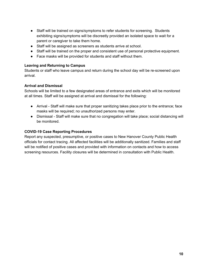- ● Staff will be trained on signs/symptoms to refer students for screening. Students exhibiting signs/symptoms will be discreetly provided an isolated space to wait for a parent or caregiver to take them home.
- Staff will be assigned as screeners as students arrive at school.
- Staff will be trained on the proper and consistent use of personal protective equipment.
- Face masks will be provided for students and staff without them.

#### **Leaving and Returning to Campus**

 Students or staff who leave campus and return during the school day will be re-screened upon arrival.

### **Arrival and Dismissal**

 Schools will be limited to a few designated areas of entrance and exits which will be monitored at all times. Staff will be assigned at arrival and dismissal for the following:

- ● Arrival Staff will make sure that proper sanitizing takes place prior to the entrance; face masks will be required; no unauthorized persons may enter.
- ● Dismissal Staff will make sure that no congregation will take place; social distancing will be monitored.

### **COVID-19 Case Reporting Procedures**

 Report any suspected, presumptive, or positive cases to New Hanover County Public Health officials for contact tracing. All affected facilities will be additionally sanitized. Families and staff will be notified of positive cases and provided with information on contacts and how to access screening resources. Facility closures will be determined in consultation with Public Health.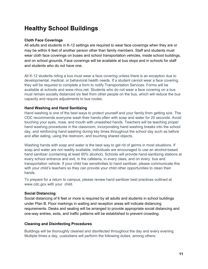### **Healthy School Buildings**

### **Cloth Face Coverings**

 All adults and students in K-12 settings are required to wear face coverings when they are or may be within 6 feet of another person other than family members. Staff and students must wear cloth face coverings on buses and school transportation vehicles, inside school buildings, and on school grounds. Face coverings will be available at bus stops and in schools for staff and students who do not have one.

 All K-12 students riding a bus must wear a face covering unless there is an exception due to developmental, medical, or behavioral health needs. If a student cannot wear a face covering, they will be required to complete a form to notify Transportation Services. Forms will be available at schools and www.nhcs.net. Students who do not wear a face covering on a bus must remain socially distanced six feet from other people on the bus, which will reduce the bus capacity and require adjustments to bus routes.

### **Hand Washing and Hand Sanitizing**

 Hand washing is one of the best ways to protect yourself and your family from getting sick. The CDC recommends everyone wash their hands often with soap and water for 20 seconds. Avoid touching your eyes, nose, and mouth with unwashed hands. Teachers will be teaching proper hand washing procedures in the classroom, incorporating hand washing breaks into the school day, and reinforcing hand washing during key times throughout the school day such as before and after eating, using the restroom, and touching shared objects.

 Washing hands with soap and water is the best way to get rid of germs in most situations. If soap and water are not readily available, individuals are encouraged to use an alcohol-based hand sanitizer (containing at least 60% alcohol). Schools will provide hand-sanitizing stations at every school entrance and exit, in the cafeteria, in every class, and on every bus and transportation vehicle. If your child has sensitivities to hand sanitizer, please communicate this with your child's teachers so they can provide your child other opportunities to clean their hands.

 To prepare for a return to campus, please review hand sanitizer best practices outlined at www.cdc.gov with your child.

### **Social Distancing**

 Social distancing of 6 feet or more is required by all adults and students in school buildings under Plan B. Floor markings in waiting and reception areas will indicate distancing requirements. Desks and seating will be arranged to provide appropriate social distancing and one-way entries, exits, and traffic patterns will be established to prevent crowding.

### **Cleaning and Disinfecting Procedures**

 Buildings will be thoroughly cleaned and disinfected throughout the day and every evening. Multiple times a day, custodians will perform the following duties, among others: